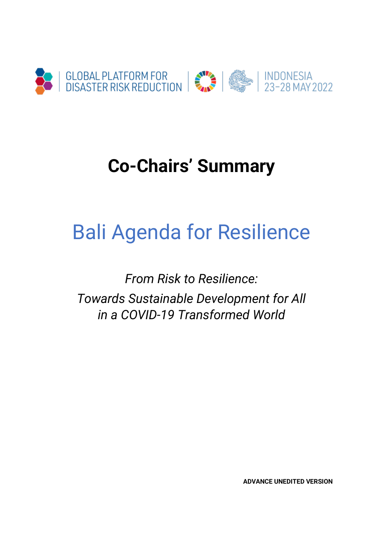

# **Co-Chairs' Summary**

# Bali Agenda for Resilience

*From Risk to Resilience: Towards Sustainable Development for All in a COVID-19 Transformed World*

**ADVANCE UNEDITED VERSION**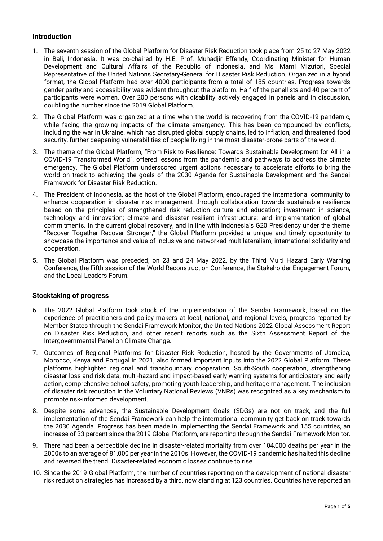## **Introduction**

- 1. The seventh session of the Global Platform for Disaster Risk Reduction took place from 25 to 27 May 2022 in Bali, Indonesia. It was co-chaired by H.E. Prof. Muhadjir Effendy, Coordinating Minister for Human Development and Cultural Affairs of the Republic of Indonesia, and Ms. Mami Mizutori, Special Representative of the United Nations Secretary-General for Disaster Risk Reduction. Organized in a hybrid format, the Global Platform had over 4000 participants from a total of 185 countries. Progress towards gender parity and accessibility was evident throughout the platform. Half of the panellists and 40 percent of participants were women. Over 200 persons with disability actively engaged in panels and in discussion, doubling the number since the 2019 Global Platform.
- 2. The Global Platform was organized at a time when the world is recovering from the COVID-19 pandemic, while facing the growing impacts of the climate emergency. This has been compounded by conflicts, including the war in Ukraine, which has disrupted global supply chains, led to inflation, and threatened food security, further deepening vulnerabilities of people living in the most disaster-prone parts of the world.
- 3. The theme of the Global Platform, "From Risk to Resilience: Towards Sustainable Development for All in a COVID-19 Transformed World", offered lessons from the pandemic and pathways to address the climate emergency. The Global Platform underscored urgent actions necessary to accelerate efforts to bring the world on track to achieving the goals of the 2030 Agenda for Sustainable Development and the Sendai Framework for Disaster Risk Reduction.
- 4. The President of Indonesia, as the host of the Global Platform, encouraged the international community to enhance cooperation in disaster risk management through collaboration towards sustainable resilience based on the principles of strengthened risk reduction culture and education; investment in science, technology and innovation; climate and disaster resilient infrastructure; and implementation of global commitments. In the current global recovery, and in line with Indonesia's G20 Presidency under the theme "Recover Together Recover Stronger," the Global Platform provided a unique and timely opportunity to showcase the importance and value of inclusive and networked multilateralism, international solidarity and cooperation.
- 5. The Global Platform was preceded, on 23 and 24 May 2022, by the Third Multi Hazard Early Warning Conference, the Fifth session of the World Reconstruction Conference, the Stakeholder Engagement Forum, and the Local Leaders Forum.

# **Stocktaking of progress**

- 6. The 2022 Global Platform took stock of the implementation of the Sendai Framework, based on the experience of practitioners and policy makers at local, national, and regional levels, progress reported by Member States through the Sendai Framework Monitor, the United Nations 2022 Global Assessment Report on Disaster Risk Reduction, and other recent reports such as the Sixth Assessment Report of the Intergovernmental Panel on Climate Change.
- 7. Outcomes of Regional Platforms for Disaster Risk Reduction, hosted by the Governments of Jamaica, Morocco, Kenya and Portugal in 2021, also formed important inputs into the 2022 Global Platform. These platforms highlighted regional and transboundary cooperation, South-South cooperation, strengthening disaster loss and risk data, multi-hazard and impact-based early warning systems for anticipatory and early action, comprehensive school safety, promoting youth leadership, and heritage management. The inclusion of disaster risk reduction in the Voluntary National Reviews (VNRs) was recognized as a key mechanism to promote risk-informed development.
- 8. Despite some advances, the Sustainable Development Goals (SDGs) are not on track, and the full implementation of the Sendai Framework can help the international community get back on track towards the 2030 Agenda. Progress has been made in implementing the Sendai Framework and 155 countries, an increase of 33 percent since the 2019 Global Platform, are reporting through the Sendai Framework Monitor.
- 9. There had been a perceptible decline in disaster-related mortality from over 104,000 deaths per year in the 2000s to an average of 81,000 per year in the 2010s. However, the COVID-19 pandemic has halted this decline and reversed the trend. Disaster-related economic losses continue to rise.
- 10. Since the 2019 Global Platform, the number of countries reporting on the development of national disaster risk reduction strategies has increased by a third, now standing at 123 countries. Countries have reported an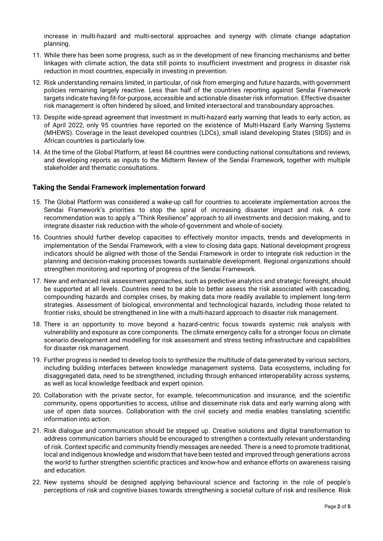increase in multi-hazard and multi-sectoral approaches and synergy with climate change adaptation planning.

- 11. While there has been some progress, such as in the development of new financing mechanisms and better linkages with climate action, the data still points to insufficient investment and progress in disaster risk reduction in most countries, especially in investing in prevention.
- 12. Risk understanding remains limited, in particular, of risk from emerging and future hazards, with government policies remaining largely reactive. Less than half of the countries reporting against Sendai Framework targets indicate having fit-for-purpose, accessible and actionable disaster risk information. Effective disaster risk management is often hindered by siloed, and limited intersectoral and transboundary approaches.
- 13. Despite wide-spread agreement that investment in multi-hazard early warning that leads to early action, as of April 2022, only 95 countries have reported on the existence of Multi-Hazard Early Warning Systems (MHEWS). Coverage in the least developed countries (LDCs), small island developing States (SIDS) and in African countries is particularly low.
- 14. At the time of the Global Platform, at least 84 countries were conducting national consultations and reviews, and developing reports as inputs to the Midterm Review of the Sendai Framework, together with multiple stakeholder and thematic consultations.

#### **Taking the Sendai Framework implementation forward**

- 15. The Global Platform was considered a wake-up call for countries to accelerate implementation across the Sendai Framework's priorities to stop the spiral of increasing disaster impact and risk. A core recommendation was to apply a "Think Resilience" approach to all investments and decision making, and to integrate disaster risk reduction with the whole-of-government and whole-of-society.
- 16. Countries should further develop capacities to effectively monitor impacts, trends and developments in implementation of the Sendai Framework, with a view to closing data gaps. National development progress indicators should be aligned with those of the Sendai Framework in order to integrate risk reduction in the planning and decision-making processes towards sustainable development. Regional organizations should strengthen monitoring and reporting of progress of the Sendai Framework.
- 17. New and enhanced risk assessment approaches, such as predictive analytics and strategic foresight, should be supported at all levels. Countries need to be able to better assess the risk associated with cascading, compounding hazards and complex crises, by making data more readily available to implement long-term strategies. Assessment of biological, environmental and technological hazards, including those related to frontier risks, should be strengthened in line with a multi-hazard approach to disaster risk management.
- 18. There is an opportunity to move beyond a hazard-centric focus towards systemic risk analysis with vulnerability and exposure as core components. The climate emergency calls for a stronger focus on climate scenario development and modelling for risk assessment and stress testing infrastructure and capabilities for disaster risk management.
- 19. Further progress is needed to develop tools to synthesize the multitude of data generated by various sectors, including building interfaces between knowledge management systems. Data ecosystems, including for disaggregated data, need to be strengthened, including through enhanced interoperability across systems, as well as local knowledge feedback and expert opinion.
- 20. Collaboration with the private sector, for example, telecommunication and insurance, and the scientific community, opens opportunities to access, utilise and disseminate risk data and early warning along with use of open data sources. Collaboration with the civil society and media enables translating scientific information into action.
- 21. Risk dialogue and communication should be stepped up. Creative solutions and digital transformation to address communication barriers should be encouraged to strengthen a contextually relevant understanding of risk. Context specific and community friendly messages are needed. There is a need to promote traditional, local and indigenous knowledge and wisdom that have been tested and improved through generations across the world to further strengthen scientific practices and know-how and enhance efforts on awareness raising and education.
- 22. New systems should be designed applying behavioural science and factoring in the role of people's perceptions of risk and cognitive biases towards strengthening a societal culture of risk and resilience. Risk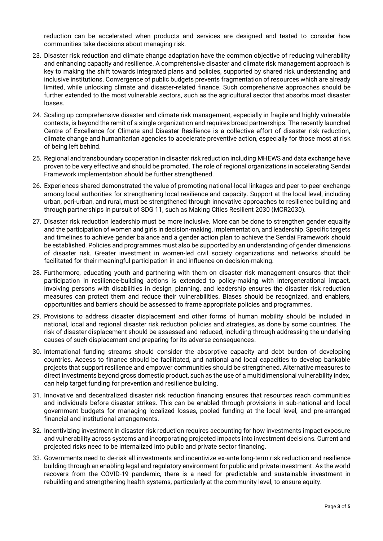reduction can be accelerated when products and services are designed and tested to consider how communities take decisions about managing risk.

- 23. Disaster risk reduction and climate change adaptation have the common objective of reducing vulnerability and enhancing capacity and resilience. A comprehensive disaster and climate risk management approach is key to making the shift towards integrated plans and policies, supported by shared risk understanding and inclusive institutions. Convergence of public budgets prevents fragmentation of resources which are already limited, while unlocking climate and disaster-related finance. Such comprehensive approaches should be further extended to the most vulnerable sectors, such as the agricultural sector that absorbs most disaster losses.
- 24. Scaling up comprehensive disaster and climate risk management, especially in fragile and highly vulnerable contexts, is beyond the remit of a single organization and requires broad partnerships. The recently launched Centre of Excellence for Climate and Disaster Resilience is a collective effort of disaster risk reduction, climate change and humanitarian agencies to accelerate preventive action, especially for those most at risk of being left behind.
- 25. Regional and transboundary cooperation in disaster risk reduction including MHEWS and data exchange have proven to be very effective and should be promoted. The role of regional organizations in accelerating Sendai Framework implementation should be further strengthened.
- 26. Experiences shared demonstrated the value of promoting national-local linkages and peer-to-peer exchange among local authorities for strengthening local resilience and capacity. Support at the local level, including urban, peri-urban, and rural, must be strengthened through innovative approaches to resilience building and through partnerships in pursuit of SDG 11, such as Making Cities Resilient 2030 (MCR2030).
- 27. Disaster risk reduction leadership must be more inclusive. More can be done to strengthen gender equality and the participation of women and girls in decision-making, implementation, and leadership. Specific targets and timelines to achieve gender balance and a gender action plan to achieve the Sendai Framework should be established. Policies and programmes must also be supported by an understanding of gender dimensions of disaster risk. Greater investment in women-led civil society organizations and networks should be facilitated for their meaningful participation in and influence on decision-making.
- 28. Furthermore, educating youth and partnering with them on disaster risk management ensures that their participation in resilience-building actions is extended to policy-making with intergenerational impact. Involving persons with disabilities in design, planning, and leadership ensures the disaster risk reduction measures can protect them and reduce their vulnerabilities. Biases should be recognized, and enablers, opportunities and barriers should be assessed to frame appropriate policies and programmes.
- 29. Provisions to address disaster displacement and other forms of human mobility should be included in national, local and regional disaster risk reduction policies and strategies, as done by some countries. The risk of disaster displacement should be assessed and reduced, including through addressing the underlying causes of such displacement and preparing for its adverse consequences.
- 30. International funding streams should consider the absorptive capacity and debt burden of developing countries. Access to finance should be facilitated, and national and local capacities to develop bankable projects that support resilience and empower communities should be strengthened. Alternative measures to direct investments beyond gross domestic product, such as the use of a multidimensional vulnerability index, can help target funding for prevention and resilience building.
- 31. Innovative and decentralized disaster risk reduction financing ensures that resources reach communities and individuals before disaster strikes. This can be enabled through provisions in sub-national and local government budgets for managing localized losses, pooled funding at the local level, and pre-arranged financial and institutional arrangements.
- 32. Incentivizing investment in disaster risk reduction requires accounting for how investments impact exposure and vulnerability across systems and incorporating projected impacts into investment decisions. Current and projected risks need to be internalized into public and private sector financing.
- 33. Governments need to de-risk all investments and incentivize ex-ante long-term risk reduction and resilience building through an enabling legal and regulatory environment for public and private investment. As the world recovers from the COVID-19 pandemic, there is a need for predictable and sustainable investment in rebuilding and strengthening health systems, particularly at the community level, to ensure equity.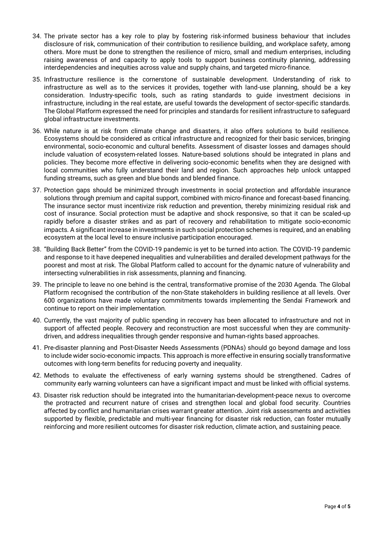- 34. The private sector has a key role to play by fostering risk-informed business behaviour that includes disclosure of risk, communication of their contribution to resilience building, and workplace safety, among others. More must be done to strengthen the resilience of micro, small and medium enterprises, including raising awareness of and capacity to apply tools to support business continuity planning, addressing interdependencies and inequities across value and supply chains, and targeted micro-finance.
- 35. Infrastructure resilience is the cornerstone of sustainable development. Understanding of risk to infrastructure as well as to the services it provides, together with land-use planning, should be a key consideration. Industry-specific tools, such as rating standards to guide investment decisions in infrastructure, including in the real estate, are useful towards the development of sector-specific standards. The Global Platform expressed the need for principles and standards for resilient infrastructure to safeguard global infrastructure investments.
- 36. While nature is at risk from climate change and disasters, it also offers solutions to build resilience. Ecosystems should be considered as critical infrastructure and recognized for their basic services, bringing environmental, socio-economic and cultural benefits. Assessment of disaster losses and damages should include valuation of ecosystem-related losses. Nature-based solutions should be integrated in plans and policies. They become more effective in delivering socio-economic benefits when they are designed with local communities who fully understand their land and region. Such approaches help unlock untapped funding streams, such as green and blue bonds and blended finance.
- 37. Protection gaps should be minimized through investments in social protection and affordable insurance solutions through premium and capital support, combined with micro-finance and forecast-based financing. The insurance sector must incentivize risk reduction and prevention, thereby minimizing residual risk and cost of insurance. Social protection must be adaptive and shock responsive, so that it can be scaled-up rapidly before a disaster strikes and as part of recovery and rehabilitation to mitigate socio-economic impacts. A significant increase in investments in such social protection schemes is required, and an enabling ecosystem at the local level to ensure inclusive participation encouraged.
- 38. "Building Back Better" from the COVID-19 pandemic is yet to be turned into action. The COVID-19 pandemic and response to it have deepened inequalities and vulnerabilities and derailed development pathways for the poorest and most at risk. The Global Platform called to account for the dynamic nature of vulnerability and intersecting vulnerabilities in risk assessments, planning and financing.
- 39. The principle to leave no one behind is the central, transformative promise of the 2030 Agenda. The Global Platform recognised the contribution of the non-State stakeholders in building resilience at all levels. Over 600 organizations have made voluntary commitments towards implementing the Sendai Framework and continue to report on their implementation.
- 40. Currently, the vast majority of public spending in recovery has been allocated to infrastructure and not in support of affected people. Recovery and reconstruction are most successful when they are communitydriven, and address inequalities through gender responsive and human-rights based approaches.
- 41. Pre-disaster planning and Post-Disaster Needs Assessments (PDNAs) should go beyond damage and loss to include wider socio-economic impacts. This approach is more effective in ensuring socially transformative outcomes with long-term benefits for reducing poverty and inequality.
- 42. Methods to evaluate the effectiveness of early warning systems should be strengthened. Cadres of community early warning volunteers can have a significant impact and must be linked with official systems.
- 43. Disaster risk reduction should be integrated into the humanitarian-development-peace nexus to overcome the protracted and recurrent nature of crises and strengthen local and global food security. Countries affected by conflict and humanitarian crises warrant greater attention. Joint risk assessments and activities supported by flexible, predictable and multi-year financing for disaster risk reduction, can foster mutually reinforcing and more resilient outcomes for disaster risk reduction, climate action, and sustaining peace.